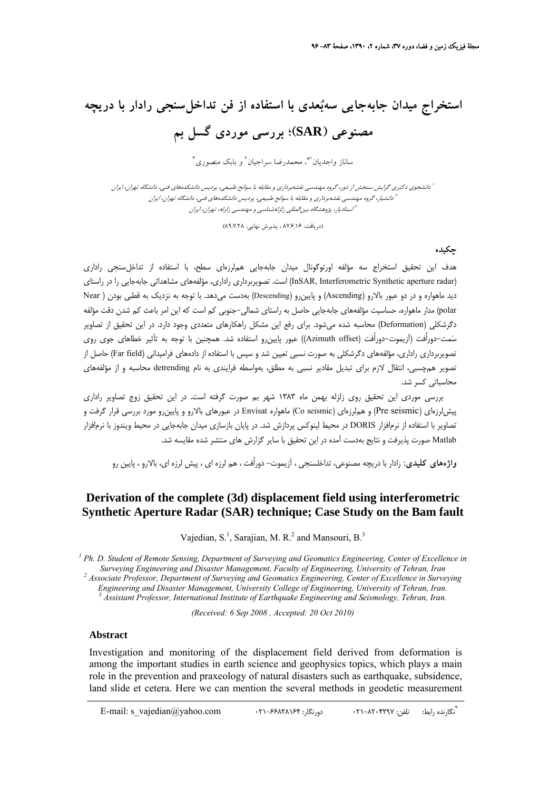# **استخراج ميدان جابهجايي سهبعدي با استفاده از فن تداخلسنجي رادار با دريچه مصنوعي (SAR(؛ بررسي موردي گسل بم**

ساناز واجديان"، محمدرضا سراجيان<sup>٢</sup> و بابك منصوري<sup>٣</sup>

دانشجوي دكتري گرايش سنجش از دور، گروه مهندسي نقشهبرداري <sup>و</sup> مقابله با سوانح طبيعي، پرديس دانشكدههاي فني، دانشگاه تهران، ايران <sup>1</sup> دانشيار، گروه مهندسي نقشهبرداري <sup>و</sup> مقابله با سوانح طبيعي، پرديس دانشكدههاي فني، دانشگاه تهران، ايران <sup>2</sup> استاديار، پژوهشگاه بينالمللي زلزلهشناسي و مهندسي زلزله، تهران، ايران

(دريافت: ۸۷٬۶٫۱۶ ، پذيرش نهايي: ۸۹٬۷٬۲۸)

**چكيده** 

هدف اين تحقيق استخراج سه مؤلفه اورتوگونال ميدان جابهجايي هملرزهاي سطح، با استفاده از تداخلسنجي راداري (radar aperture Synthetic Interferometric ,InSAR (است. تصويربرداري راداري، مؤلفههاي مشاهداتي جابهجايي را در راستاي ديد ماهواره و در دو عبور بالارو (Ascending (و پايينرو (Descending (بهدست ميدهد. با توجه به نزديك به قطبي بودن ( Near polar (مدار ماهواره، حساسيت مؤلفههاي جابهجايي حاصل به راستاي شمالي-جنوبي كم است كه اين امر باعث كم شدن دقت مؤلفه دگرشكلي (Deformation (محاسبه شده ميشود. براي رفع اين مشكل راهكارهاي متعددي وجود دارد. در اين تحقيق از تصاوير سَمت-دوراُفت (آزيموت-دوراُفت (Azimuth offset)) عبور پايينرو استفاده شد. همچنين با توجه به تأثير خطاهاي جوي روي تصويربرداري راداري، مؤلفههاي دگرشكلي به صورت نسبي تعيين شد و سپس با استفاده از دادههاي فراميداني (Far field) حاصل از تصوير همچسبي، انتقال لازم براي تبديل مقادير نسبي به مطلق، بهواسطه فرايندي به نام detrending محاسبه و از مؤلفههاي محاسباتي كسر شد.

بررسي موردي اين تحقيق روي زلزله بهمن ماه 1383 شهر بم صورت گرفته است. در اين تحقيق زوج تصاوير راداري پيش لرزهاي (Pre seismic) و هملرزهاي (Co seismic) ماهواره Envisat در عبورهاي بالارو و پايين,رو مورد بررسي قرار گرفت و تصاوير با استفاده از نرمافزار DORIS در محيط لينوكس پردازش شد. در پايان بازسازي ميدان جابهجايي در محيط ويندوز با نرمافزار Matlab صورت پذيرفت و نتايج بهدست آمده در اين تحقيق با ساير گزارش هاي منتشر شده مقايسه شد.

**واژههاي كليدي:** رادار با دريچه مصنوعي، تداخلسنجي ، آزيموت- دوراُفت ، هم لرزه اي ، پيش لرزه اي، بالارو ، پايين رو

#### **Derivation of the complete (3d) displacement field using interferometric Synthetic Aperture Radar (SAR) technique; Case Study on the Bam fault**

Vajedian, S.<sup>1</sup>, Sarajian, M. R.<sup>2</sup> and Mansouri, B.<sup>3</sup>

<sup>1</sup> Ph. D. Student of Remote Sensing, Department of Surveying and Geomatics Engineering, Center of Excellence in *Surveying Engineering and Disaster Management, Faculty of Engineering, University of Tehran, Iran 2*

 *Associate Professor, Department of Surveying and Geomatics Engineering, Center of Excellence in Surveying* 

Engineering and Disaster Management, University College of Engineering, University of Tehran, Iran.<br><sup>3</sup> Assistant Professor, International Institute of Earthquake Engineering and Seismology, Tehran, Iran.

*(Received: 6 Sep 2008 , Accepted: 20 Oct 2010)* 

#### **Abstract**

Investigation and monitoring of the displacement field derived from deformation is among the important studies in earth science and geophysics topics, which plays a main role in the prevention and praxeology of natural disasters such as earthquake, subsidence, land slide et cetera. Here we can mention the several methods in geodetic measurement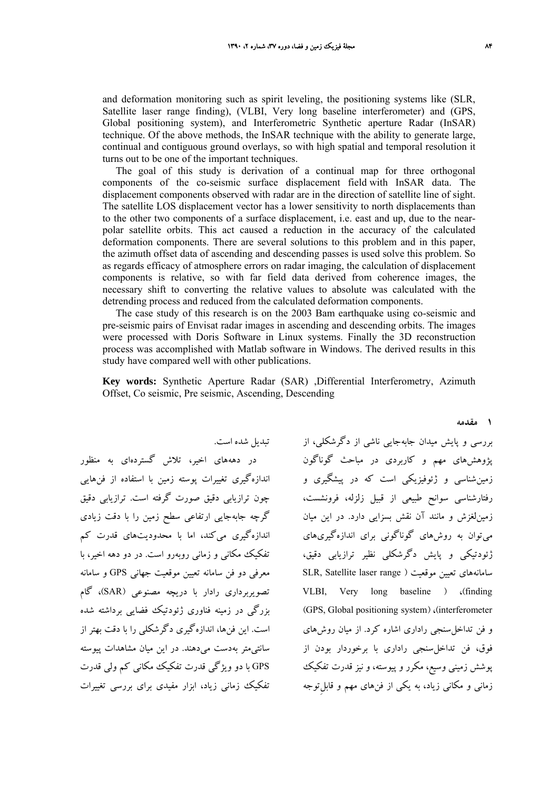and deformation monitoring such as spirit leveling, the positioning systems like (SLR, Satellite laser range finding), (VLBI, Very long baseline interferometer) and (GPS, Global positioning system), and Interferometric Synthetic aperture Radar (InSAR) technique. Of the above methods, the InSAR technique with the ability to generate large, continual and contiguous ground overlays, so with high spatial and temporal resolution it turns out to be one of the important techniques.

The goal of this study is derivation of a continual map for three orthogonal components of the co-seismic surface displacement field with InSAR data. The displacement components observed with radar are in the direction of satellite line of sight. The satellite LOS displacement vector has a lower sensitivity to north displacements than to the other two components of a surface displacement, i.e. east and up, due to the nearpolar satellite orbits. This act caused a reduction in the accuracy of the calculated deformation components. There are several solutions to this problem and in this paper, the azimuth offset data of ascending and descending passes is used solve this problem. So as regards efficacy of atmosphere errors on radar imaging, the calculation of displacement components is relative, so with far field data derived from coherence images, the necessary shift to converting the relative values to absolute was calculated with the detrending process and reduced from the calculated deformation components.

The case study of this research is on the 2003 Bam earthquake using co-seismic and pre-seismic pairs of Envisat radar images in ascending and descending orbits. The images were processed with Doris Software in Linux systems. Finally the 3D reconstruction process was accomplished with Matlab software in Windows. The derived results in this study have compared well with other publications.

**Key words:** Synthetic Aperture Radar (SAR) ,Differential Interferometry, Azimuth Offset, Co seismic, Pre seismic, Ascending, Descending

در دهههاي اخير، تلاش گستردهاي به منظور اندازهگيري تغييرات پوسته زمين با استفاده از فنهايي چون ترازيابي دقيق صورت گرفته است. ترازيابي دقيق گرچه جابهجايي ارتفاعي سطح زمين را با دقت زيادي اندازهگيري ميكند، اما با محدوديتهاي قدرت كم تفكيك مكاني و زماني روبهرو است. در دو دهه اخير، با معرفي دو فن سامانه تعيين موقعيت جهاني GPS و سامانه تصويربرداري رادار با دريچه مصنوعي (SAR(، گام بزرگي در زمينه فناوري ژئودتيك فضايي برداشته شده است. اين فنها، اندازهگيري دگرشكلي را با دقت بهتر از سانتيمتر بهدست ميدهند. در اين ميان مشاهدات پيوسته GPS با دو ويژگي قدرت تفكيك مكاني كم ولي قدرت تفكيك زماني زياد، ابزار مفيدي براي بررسي تغييرات

تبديل شده است.

بررسي و پايش ميدان جابهجايي ناشي از دگرشكلي، از پژوهشهاي مهم و كاربردي در مباحث گوناگون زمينشناسي و ژئوفيزيكي است كه در پيشگيري و رفتارشناسي سوانح طبيعي از قبيل زلزله، فرونشست، زمينلغزش و مانند آن نقش بسزايي دارد. در اين ميان ميتوان به روشهاي گوناگوني براي اندازهگيريهاي ژئودتيكي و پايش دگرشكلي نظير ترازيابي دقيق، SLR, Satellite laser range ) موقعيت تعيين سامانههاي VLBI, Very long baseline ) ،(finding (GPS, Global positioning system) ،(interferometer و فن تداخلسنجي راداري اشاره كرد. از ميان روشهاي فوق، فن تداخلسنجي راداري با برخوردار بودن از پوشش زميني وسيع، مكرر و پيوسته، و نيز قدرت تفكيك زماني و مكاني زياد، به يكي از فنهاي مهم و ِ قابلتوجه

**1 مقدمه**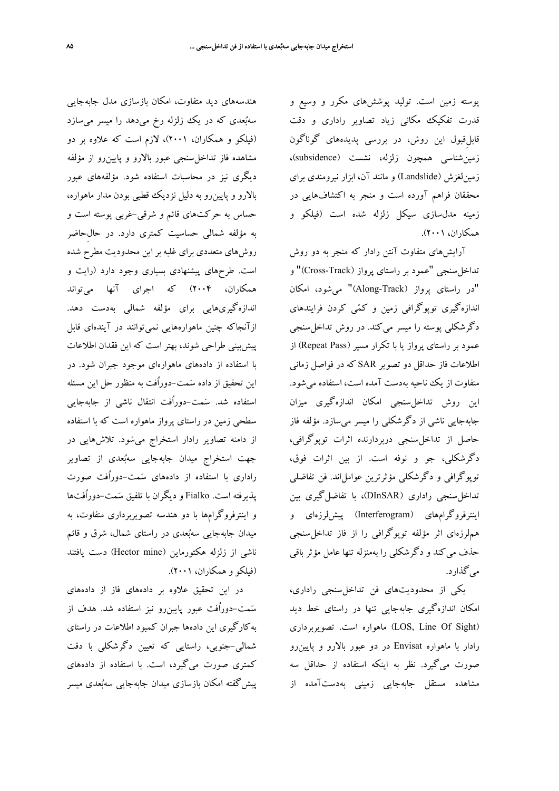پوسته زمين است. توليد پوششهاي مكرر و وسيع و قدرت تفكيك مكاني زياد تصاوير راداري و دقت ِ قابلقبول اين روش، در بررسي پديدههاي گوناگون زمينشناسي همچون زلزله، نشست (subsidence(، زمينلغزش (Landslide (و مانند آن، ابزار نيرومندي براي محققان فراهم آورده است و منجر به اكتشافهايي در زمينه مدلسازي سيكل زلزله شده است (فيلكو و همكاران، 2001).

آرايشهاي متفاوت آنتن رادار كه منجر به دو روش تداخلسنجي "عمود بر راستاي پرواز (Track-Cross "(و "در راستاي پرواز (Track-Along "(ميشود، امكان اندازهگيري توپوگرافي زمين و كمي كردن فرايندهاي دگر شكلي پوسته را ميسر مي كند. در روش تداخل سنجي عمود بر راستاي پرواز يا با تكرار مسير (Repeat Pass) از اطلاعات فاز حداقل دو تصوير SAR كه در فواصل زماني متفاوت از يك ناحيه بهدست آمده است، استفاده ميشود. اين روش تداخلسنجي امكان اندازهگيري ميزان جابهجايي ناشي از دگرشكلي را ميسر ميسازد. مؤلفه فاز حاصل از تداخلسنجي دربردارنده اثرات توپوگرافي، دگرشكلي، جو و نوفه است. از بين اثرات فوق، توپوگرافي و دگرشكلي مؤثرترين عوامل اند. فن تفاضلي تداخلسنجي راداري (DInSAR(، با تفاضلگيري بين اينترفروگرامهاي (Interferogram (پيشلرزهاي و هملرزهاي اثر مؤلفه توپوگرافي را از فاز تداخلسنجي حذف ميكند و دگرشكلي را بهمنزله تنها عامل مؤثر باقي ميگذارد.

يكي از محدوديتهاي فن تداخلسنجي راداري، امكان اندازهگيري جابهجايي تنها در راستاي خط ديد تصويربرداري .است ماهواره) LOS, Line Of Sight) رادار با ماهواره Envisat در دو عبور بالارو و پايينرو صورت ميگيرد. نظر به اينكه استفاده از حداقل سه مشاهده مستقل جابهجايي زميني بهدستآمده از

هندسههاي ديد متفاوت، امكان بازسازي مدل جابهجايي سهبُعدی که در يک زلزله رخ میدهد را ميسر میسازد (فيلكو و همكاران، 2001)، لازم است كه علاوه بر دو مشاهده فاز تداخلسنجي عبور بالارو و پايينرو از مؤلفه ديگري نيز در محاسبات استفاده شود. مؤلفههاي عبور بالارو و پايينرو به دليل نزديك قطبي بودن مدار ماهواره، حساس به حركتهاي قائم و شرقي-غربي پوسته است و به مؤلفه شمالي حساسيت كمتري دارد. در حالِحاضر روشهاي متعددي براي غلبه بر اين محدوديت مطرح شده است. طرحهاي پيشنهادي بسياري وجود دارد (رايت و همكاران، 2004) كه اجراي آنها ميتواند اندازهگيريهايي براي مؤلفه شمالي بهدست دهد. ازآنجاكه چنين ماهوارههايي نميتوانند در آيندهاي قابل پيشبيني طراحي شوند، بهتر است كه اين فقدان اطلاعات با استفاده از دادههاي ماهوارهاي موجود جبران شود. در اين تحقيق از داده سمت-دوراُفت به منظور حل اين مسئله استفاده شد. سمت-دوراُفت انتقال ناشي از جابهجايي سطحي زمين در راستاي پرواز ماهواره است كه با استفاده از دامنه تصاوير رادار استخراج ميشود. تلاشهايي در جهت استخراج ميدان جابهجايي سهبُعدي از تصاوير راداري با استفاده از دادههاي سمت-دوراُفت صورت پذيرفته است. Fialko و ديگران با تلفيق سمت-دوراُفتها و اينترفروگرامها با دو هندسه تصويربرداري متفاوت، به ميدان جابهجايي سهبعدي در راستاي شمال، شرق و قائم ناشي از زلزله هكتورماين (Hector mine) دست يافتند (فيلكو و همكاران، 2001).

در اين تحقيق علاوه بر دادههاي فاز از دادههاي سمت-دوراُفت عبور پايينرو نيز استفاده شد. هدف از بهكارگيري اين دادهها جبران كمبود اطلاعات در راستاي شمالي-جنوبي، راستايي كه تعيين دگرشكلي با دقت كمتري صورت ميگيرد، است. با استفاده از دادههاي پيشگفته امكان بازسازي ميدان جابهجايي سهبعدي ميسر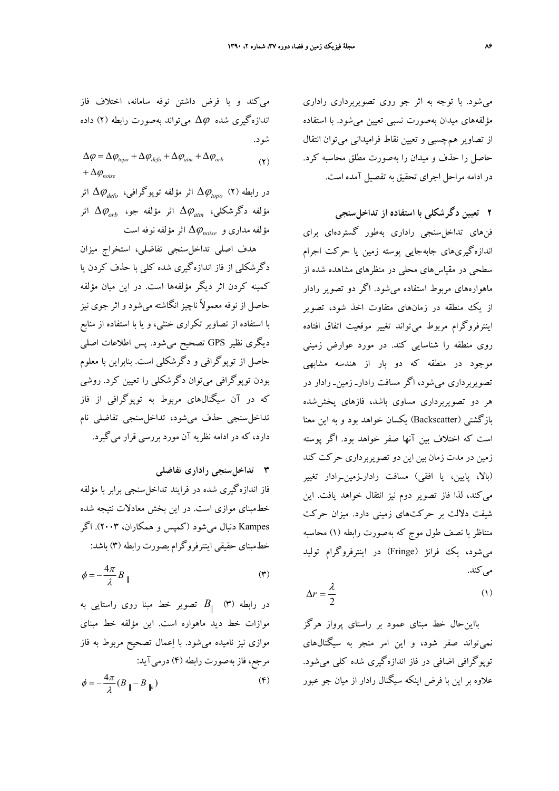ميشود. با توجه به اثر جو روي تصويربرداري راداري مؤلفههاي ميدان بهصورت نسبي تعيين ميشود. با استفاده از تصاوير همچسبي و تعيين نقاط فراميداني ميتوان انتقال حاصل را حذف و ميدان را بهصورت مطلق محاسبه كرد. در ادامه مراحل اجراي تحقيق به تفصيل آمده است.

**2 تعيين دگرشكلي با استفاده از تداخلسنجي**  فنهاي تداخلسنجي راداري بهطور گستردهاي براي اندازهگيريهاي جابهجايي پوسته زمين يا حركت اجرام سطحي در مقياسهاي محلي در منظرهاي مشاهده شده از ماهوارههاي مربوط استفاده ميشود. اگر دو تصوير رادار از يك منطقه در زمانهاي متفاوت اخذ شود، تصوير اينترفروگرام مربوط ميتواند تغيير موقعيت اتفاق افتاده روي منطقه را شناسايي كند. در مورد عوارض زميني موجود در منطقه كه دو بار از هندسه مشابهي تصويربرداري ميشود، اگر مسافت رادارـ زمينـ رادار در هر دو تصويربرداري مساوي باشد، فازهاي پخششده بازگشتي (Backscatter (يكسان خواهد بود و به اين معنا است كه اختلاف بين آنها صفر خواهد بود. اگر پوسته زمين در مدت زمان بين اين دو تصويربرداري حركت كند (بالا، پايين، يا افقي) مسافت رادارـزمينـرادار تغيير ميكند، لذا فاز تصوير دوم نيز انتقال خواهد يافت. اين شيفت دلالت بر حركتهاي زميني دارد. ميزان حركت متناظر با نصف طول موج كه بهصورت رابطه (1) محاسبه ميشود، يك فرانژ (Fringe (در اينترفروگرام توليد مي كند.

$$
\Delta r = \frac{\lambda}{2} \tag{1}
$$

بااينحال خط مبناي عمود بر راستاي پرواز هرگز نميتواند صفر شود، و اين امر منجر به سيگنالهاي توپوگرافي اضافي در فاز اندازهگيري شده كلي ميشود. علاوه بر اين با فرض اينكه سيگنال رادار از ميان جو عبور

ميكند و با فرض داشتن نوفه سامانه، اختلاف فاز اندازهگيري شده Δ<sup>ϕ</sup> ميتواند بهصورت رابطه (2) داده شود.

 $(2)$  $+\Delta \varphi_{noise}$  $\Delta \varphi = \Delta \varphi_{topo} + \Delta \varphi_{defo} + \Delta \varphi_{atm} + \Delta \varphi_{orb}$ 

اثر Δ<sup>ϕ</sup>*defo* اثر مؤلفه توپوگرافي، Δ<sup>ϕ</sup>*topo* در رابطه (2) اثر Δ<sup>ϕ</sup>*orb* اثر مؤلفه جو، Δ<sup>ϕ</sup>*atm* مؤلفه دگرشكلي، اثر مؤلفه نوفه Δ<sup>ϕ</sup>*noise* است مؤلفه مداري و

هدف اصلي تداخلسنجي تفاضلي، استخراج ميزان دگرشكلي از فاز اندازهگيري شده كلي با حذف كردن يا كمينه كردن اثر ديگر مؤلفهها است. در اين ميان مؤلفه حاصل از نوفه معمولاً ناچيزانگاشته ميشود و اثر جوي نيز با استفاده از تصاوير تكراري خنثي، و يا با استفاده از منابع ديگري نظير GPS تصحيح ميشود. پس اطلاعات اصلي حاصل از توپوگرافي و دگرشكلي است. بنابراين با معلوم بودن توپوگرافي ميتوان دگرشكلي را تعيين كرد. روشي كه در آن سيگنالهاي مربوط به توپوگرافي از فاز تداخلسنجي حذف ميشود، تداخلسنجي تفاضلي نام دارد، كه در ادامه نظريه آن مورد بررسي قرار ميگيرد.

**3 تداخلسنجي راداري تفاضلي** 

فاز اندازهگيري شده در فرايند تداخلسنجي برابر با مؤلفه خطمبناي موازي است. در اين بخش معادلات نتيجه شده Kampes دنبال ميشود (كمپس و همكاران، 2003). اگر خطمبناي حقيقي اينترفروگرام بصورت رابطه (3) باشد:

$$
\phi = -\frac{4\pi}{\lambda} B_{\parallel} \tag{7}
$$

در رابطه (3) *B* تصوير خط مبنا روي راستايي به موازات خط ديد ماهواره است. اين مؤلفه خط مبناي موازي نيز ناميده ميشود. با اعمال تصحيح مربوط به فاز مرجع، فاز بهصورت رابطه (4) درميآيد:

$$
\phi = -\frac{4\pi}{\lambda} (B_{\parallel} - B_{\parallel} )
$$
 (F)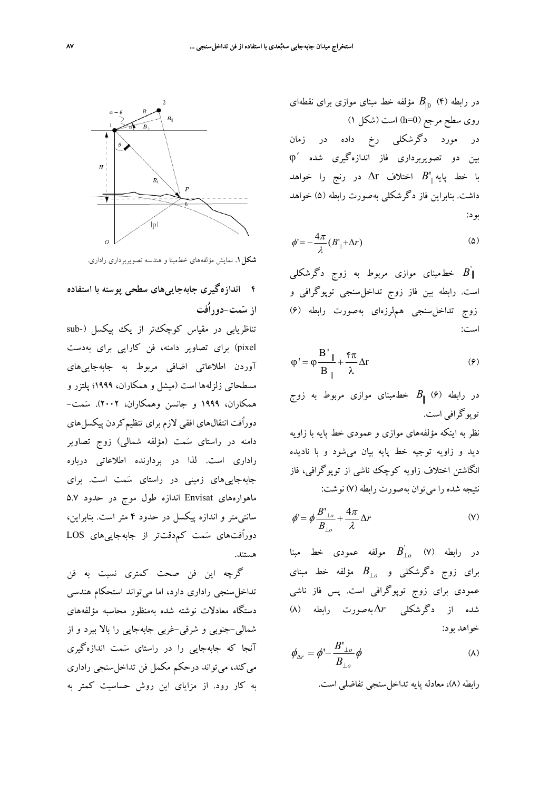در رابطه (۴) 
$$
B_{\parallel 0}
$$
 (۴ مؤلفه خط مبنای موازی برای تقطهای  
روی سطح مرجع (h=0) است (شکل )  
در مورد دگرشکلی رخ داده در زمان  
بین دو تصویربرداری فاز اندازهگیری شده ۱۳  
با خط پایه<sub>||</sub> B اختلاف Δ۱ در رنج را خواهد  
داشت. بنابراین فاز دگرشکلی بهصورت رابطه (۵) خواهد  
بود:

$$
\phi' = -\frac{4\pi}{\lambda} (B'_{\parallel} + \Delta r) \tag{2}
$$

خطمبنای موازی مربوط به زوج دگرشکل<sub>ی</sub> '' است. رابطه بين فاز زوج تداخلسنجي توپوگرافي و زوج تداخلسنجي هملرزهاي بهصورت رابطه (6) است:

$$
\varphi' = \varphi \frac{B'}{B_{\parallel}} + \frac{\varphi \pi}{\lambda} \Delta r \tag{9}
$$

در رابطه (6) *B* خطمبناي موازي مربوط به زوج توپوگرافي است.

نظر به اينكه مؤلفههاي موازي و عمودي خط پايه با زاويه ديد و زاويه توجيه خط پايه بيان ميشود و با ناديده انگاشتن اختلاف زاويه كوچك ناشي از توپوگرافي، فاز نتيجه شده را ميتوان بهصورت رابطه (7) نوشت:

$$
\phi' = \phi \frac{B'_{\perp o}}{B_{\perp o}} + \frac{4\pi}{\lambda} \Delta r \tag{V}
$$

مولفه عمودي خط مبنا *<sup>o</sup>*<sup>⊥</sup>*B* ' در رابطه (7) مؤلفه *<sup>o</sup>*<sup>⊥</sup>*B* خط مبناي براي زوج دگرشكلي و عمودي براي زوج توپوگرافي است. پس فاز ناشي شده از دگرشكلي Δ*r*بهصورت رابطه (8) خواهد بود:

$$
\phi_{\Delta r} = \phi' - \frac{B'_{\perp o}}{B_{\perp o}} \phi \tag{A}
$$

رابطه (8)، معادله پايه تداخلسنجي تفاضلي است.



**شكل.1** نمايش مؤلفههاي خطمبنا و هندسه تصويربرداري راداري.

# **4 اندازهگيري جابهجاييهاي سطحي پوسته با استفاده از سمت-دوراُفت**

تناظريابي در مقياس كوچكتر از يك پيكسل (-sub pixel (براي تصاوير دامنه، فن كارايي براي بهدست آوردن اطلاعاتي اضافي مربوط به جابهجاييهاي مسطحاتي زلزلهها است (ميشل و همكاران، 1999؛ پلتزر و همكاران، 1999 و جانسن وهمكاران، 2002). سمت- دوراُفت انتقالهاي افقي لازم براي تنظيمكردن پيكسلهاي دامنه در راستاي سمت (مؤلفه شمالي) زوج تصاوير راداري است. لذا در بردارنده اطلاعاتي درباره جابهجاييهاي زميني در راستاي سمت است. براي ماهوارههاي Envisat اندازه طول موج در حدود 5.7 سانتيمتر و اندازه پيكسل در حدود 4 متر است. بنابراين، دوراُفتهاي سمت كمدقتتر از جابهجاييهاي LOS هستند.

گرچه اين فن صحت كمتري نسبت به فن تداخلسنجي راداري دارد، اما ميتواند استحكام هندسي دستگاه معادلات نوشته شده بهمنظور محاسبه مؤلفههاي شمالي-جنوبي و شرقي-غربي جابهجايي را بالا ببرد و از آنجا كه جابهجايي را در راستاي سمت اندازهگيري ميكند، ميتواند درحكم مكمل فن تداخلسنجي راداري به كار رود. از مزاياي اين روش حساسيت كمتر به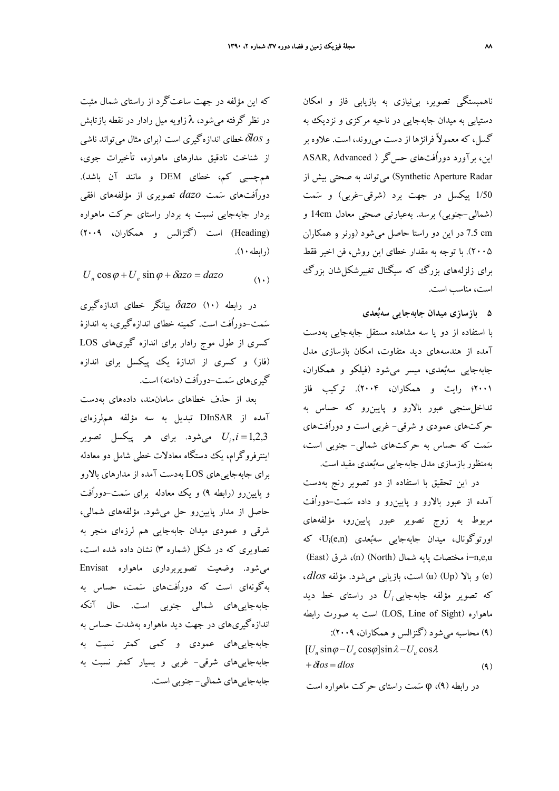ناهمبستگي تصوير، بينيازي به بازيابي فاز و امكان دستيابي به ميدان جابهجايي در ناحيه مركزي و نزديك به گسل، كه معمولاً فرانژها از دست ميروند، است. علاوه بر اين، برآورد دوراُفتهاي حس<sup>5</sup>ر ( ASAR, Advanced Radar Aperture Synthetic (ميتواند به صحتي بيش از 1/50 پيكسل در جهت برد (شرقي-غربي) و سمت (شمالي-جنوبي) برسد. بهعبارتي صحتي معادل 14cm و cm 7.5 در اين دو راستا حاصل ميشود (ورنر و همكاران 2005). با توجه به مقدار خطاي اين روش، فن اخير فقط براي زلزلههاي بزرگ كه سيگنال تغييرشكلشان بزرگ است، مناسب است.

**5 بازسازي ميدان جابهجايي سهبعدي** 

با استفاده از دو يا سه مشاهده مستقل جابهجايي بهدست آمده از هندسههاي ديد متفاوت، امكان بازسازي مدل جابهجايي سهبعدي، ميسر ميشود (فيلكو و همكاران، 2001؛ رايت و همكاران، 2004). تركيب فاز تداخلسنجي عبور بالارو و پايينرو كه حساس به حركتهاي عمودي و شرقي- غربي است و دوراُفتهاي سمت كه حساس به حركتهاي شمالي- جنوبي است، بهمنظور بازسازي مدل جابهجايي سهبعدي مفيد است.

در اين تحقيق با استفاده از دو تصوير رنج بهدست آمده از عبور بالارو و پايينرو و داده سمت-دوراُفت مربوط به زوج تصوير عبور پايينرو، مؤلفههاي  $U_i$ (e,n) ورتوگونال، ميدان جابهجايي سهبُعدي U $_i$ (e,n) (East) مختصات يايه شمال (North) شرق (East) i=n,e,u (e (و بالا (Up) (u (است، بازيابي ميشود. مؤلفه*dlos* ، در راستاي خط ديد *Ui* كه تصوير مؤلفه جابهجايي ماهواره (LOS, Line of Sight) است به صورت رابطه (9) محاسبه ميشود (گنزالس و همكاران، 2009):  $+\delta \hspace{-0.1em} \delta \hspace{-0.1em} \delta s = d \hspace{-0.1em} \delta s \hspace{-0.3em} \delta s \hspace{-0.3em} \delta s \hspace{-0.3em} \delta s \hspace{-0.3em} \delta s \hspace{-0.3em} \delta s \hspace{-0.3em} \delta s$  $[U_n \sin\varphi - U_e \cos\varphi] \sin\lambda - U_u \cos\lambda$ 

در رابطه (9)، φ سمت راستاي حركت ماهواره است

كه اين مؤلفه در جهت ساعتگَرد از راستاي شمال مثبت در نظر گرفته ميشود، λ زاويه ميل رادار در نقطه بازتابش وδ*los*خطاي اندازهگيري است (براي مثال ميتواند ناشي از شناخت نادقيق مدارهاي ماهواره، تأخيرات جوي، همچسبي كم، خطاي DEM و مانند آن باشد). دوراُفتهاي سمت *dazo* تصويري از مؤلفههاي افقي بردار جابهجايي نسبت به بردار راستاي حركت ماهواره (Heading (است (گنزالس و همكاران، 2009) (رابطه ۱۰).

$$
U_n \cos \varphi + U_e \sin \varphi + \delta a z \circ = d a z \circ \tag{1-}
$$

در رابطه (10) *δazo* بيانگر خطاي اندازهگيري سمت-دوراُفت است. كمينه خطاي اندازهگيري، به اندازة كسري از طول موج رادار براي اندازه گيريهاي LOS (فاز) و كسري از اندازة يك پيكسل براي اندازه گيريهاي سمت-دوراُفت (دامنه) است.

بعد از حذف خطاهاي سامانمند، دادههاي بهدست آمده از DInSAR تبديل به سه مؤلفه هملرزهاي شود. براي هر پيكسل تصوير *<sup>i</sup>* مي 1,2,3= *i*, *U* اينترفروگرام، يك دستگاه معادلات خطي شامل دو معادله براي جابهجاييهاي LOS بهدست آمده از مدارهاي بالارو و پايينرو (رابطه 9) و يك معادله براي سمت-دوراُفت حاصل از مدار پايينرو حل ميشود. مؤلفههاي شمالي، شرقي و عمودي ميدان جابهجايي هم لرزهاي منجر به تصاويري كه در شكل (شماره 3) نشان داده شده است، ميشود. وضعيت تصويربرداري ماهواره Envisat بهگونهاي است كه دوراُفتهاي سمت، حساس به جابهجاييهاي شمالي جنوبي است. حال آنكه اندازهگيريهاي در جهت ديد ماهواره بهشدت حساس به جابهجاييهاي عمودي و كمي كمتر نسبت به جابهجاييهاي شرقي- غربي و بسيار كمتر نسبت به جابهجاييهاي شمالي- جنوبي است.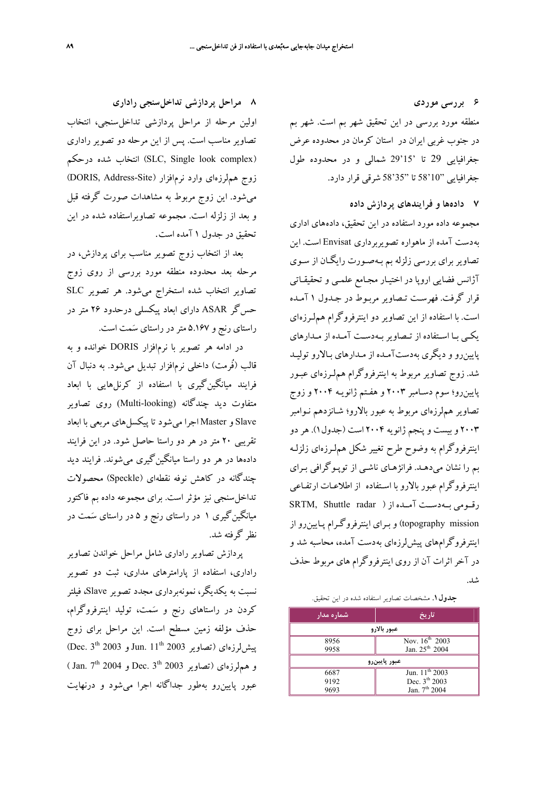**6 بررسي موردي**  منطقه مورد بررسي در اين تحقيق شهر بم است. شهر بم

در جنوب غربي ايران در استان كرمان در محدوده عرض جغرافيايي 29 تا '15'29 شمالي و در محدوده طول جغرافيايي "10'58 تا "35'58 شرقي قرار دارد.

#### **7 دادهها و فرايندهاي پردازش داده**

مجموعه داده مورد استفاده در اين تحقيق، داده هاي اداري بهدست آمده از ماهواره تصويربرداري Envisat است. اين تصاوير براي بررسي زلزله بم بـه صـورت رايگـان از سـوي آژانس فضايي اروپا در اختيـار مجـامع علمـي و تحقيقـاتي قرار گرفت. فهرسـت تـصاوير مربـوط در جـدول 1 آمـده است. با استفاده از اين تصاوير دو اينترفروگرام هم لـرزه اي يكـي بـا اسـتفاده از تـصاويربـهدسـت آمـده از مـدارهاي پايينرو و ديگري بهدستآمـده از مـدارهاي بـالارو توليـد شد. زوج تصاوير مربوط به اينترفروگرام هم لـرزهاي عبـور پايينرو؛ سوم دسـامبر 2003 و هفـتم ژانويـه 2004 و زوج تصاوير هملرزهاي مربوط به عبور بالارو؛ شـانزدهم نـوامبر 2003 و بيست و پنجم ژانويه 2004 است (جدول1). هردو اينترفروگرام به وضوح طرح تغيير شكل هملـرزهاي زلزلـه بم را نشان ميدهـد. فرانژهـاي ناشـي از توپـوگرافي بـراي اينترفروگرام عبور بالارو با اسـتفاده از اطلاعـات ارتفـاعي رقــومي بــهدســت آمــده از ( radar Shuttle ,SRTM topography mission) و بـراي اينترفروگـرام پـايينرو از اينترفروگرامهاي پيشلرزهاي بهدست آمده، محاسبه شد و در آخر اثرات آن از روي اينترفروگرام هاي مربوط حذف شد.

#### **جدول.1** مشخصات تصاوير استفاده شده در اين تحقيق.

| 'شماره مدار                        | تاريخ                      |  |  |  |
|------------------------------------|----------------------------|--|--|--|
| عبور بالارو                        |                            |  |  |  |
| 8956                               | Nov. $16^{th}$ $2003$      |  |  |  |
| Jan. 25 <sup>th</sup> 2004<br>9958 |                            |  |  |  |
| عبور پايينرو                       |                            |  |  |  |
| 6687                               | Jun. 11 <sup>th</sup> 2003 |  |  |  |
| 9192                               | Dec. 3 <sup>th</sup> 2003  |  |  |  |
| 9693                               | Jan. $7th 2004$            |  |  |  |

**8 مراحل پردازشي تداخلسنجي راداري**  اولين مرحله از مراحل پردازشي تداخلسنجي، انتخاب تصاوير مناسب است. پس از اين مرحله دو تصوير راداري درحكم شده انتخاب) SLC, Single look complex) زوج هملرزهاي وارد نرمافزار (Site-Address ,DORIS ( ميشود. اين زوج مربوط به مشاهدات صورت گرفته قبل و بعد از زلزله است. مجموعه تصاويراستفاده شده در اين تحقيق در جدول 1 آمده است.

بعد از انتخاب زوج تصوير مناسب براي پردازش، در مرحله بعد محدوده منطقه مورد بررسي از روي زوج تصاوير انتخاب شده استخراج ميشود. هر تصوير SLC حسگر ASAR داراي ابعاد پيكسلي درحدود 26 متر در راستاي رنج و 5.167 متردر راستاي سمت است.

در ادامه هر تصوير با نرم افزار DORIS خوانده و به قالب (فُرمت) داخلي نرمافزار تبديل ميشود. به دنبال آن فرايند ميانگينگيري با استفاده از كرنلهايي با ابعاد متفاوت ديد چندگانه (looking-Multi (روي تصاوير Slave و Master اجرا ميشود تا پيكسلهاي مربعي با ابعاد تقريبي 20 متر در هر دو راستا حاصل شود. در اين فرايند دادهها در هر دو راستا ميانگينگيري ميشوند. فرايند ديد چندگانه در كاهش نوفه نقطهاي (Speckle (محصولات تداخلسنجي نيز مؤثر است. براي مجموعه داده بم فاكتور ميانگينگيري 1 در راستاي رنج و 5 در راستاي سمت در نظر گرفته شد.

پردازش تصاوير راداري شامل مراحل خواندن تصاوير راداري، استفاده از پارامترهاي مداري، ثبت دو تصوير نسبت به يكديگر، نمونهبرداري مجدد تصوير Slave، فيلتر كردن در راستاهاي رنج و سمت، توليد اينترفروگرام، حذف مؤلفه زمين مسطح است. اين مراحل براي زوج Jun.  $11^{\text{th}}$  2003 ويش لرزهاي (تصاوير 2003 بيشلرزهاي و همهلرزهای (تصاویر 2003 Dec. 3<sup>th</sup> و 2004 Jan. 7<sup>th</sup> ) عبور پايينرو بهطور جداگانه اجرا ميشود و درنهايت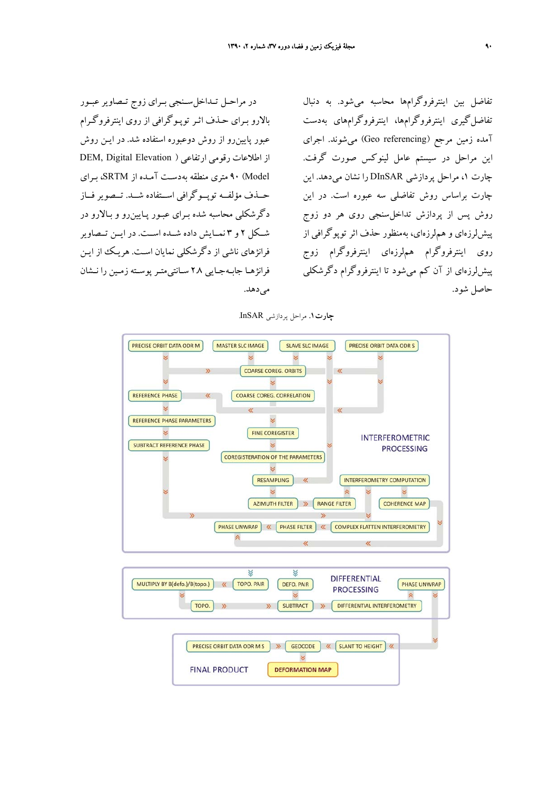در مراحــل تــداخلســنجي بــراي زوج تــصاويرعبــور بالارو بـراي حـذف اثـر توپـوگرافي از روي اينترفروگـرام عبور پايينرو از روش دوعبوره استفاده شد . در ايـن روش از اطلاعات رقومي ارتفاعي ( Elevation Digital ,DEM Model (90 متري منطقه بهدسـت آمـده از SRTM، بـراي حــذف مؤلفــه توپــوگرافي اســتفاده شــد . تــصوير فــاز دگرشكلي محاسبه شده بـراي عبـور پـايين رو و بـالارو در شــكل 2 و 3 نمــايش داده شــده اســت. در ايــن تــصاوير فرانژهاي ناشي از دگرشكلي نمايان اسـت . هريـك از ايـن فرانژهـا جابـهجـايي 2.8 سـانتيمتـر پوسـته زمـين را نـشان مي دهد.

تفاضل بين اينترفروگرامها محاسبه ميشود. به دنبال تفاضلگيري اينترفروگرامها، اينترفروگرامهاي بهدست آمده زمين مرجع (referencing Geo (ميشوند. اجراي اين مراحل در سيستم عامل لينوكس صورت گرفت. چارت ،1 مراحل پردازشي DInSAR را نشان ميدهد. اين چارت براساس روش تفاضلي سه عبوره است. در اين روش پس از پردازش تداخلسنجي روي هر دو زوج پيشلرزهاي و هملرزهاي، بهمنظور حذف اثر توپوگرافي از روي اينترفروگرام هملرزهاي اينترفروگرام زوج پيشلرزهاي از آن كم ميشود تا اينترفروگرام دگرشكلي حاصل شود.

**چارت.1** مراحل پردازشي InSAR.



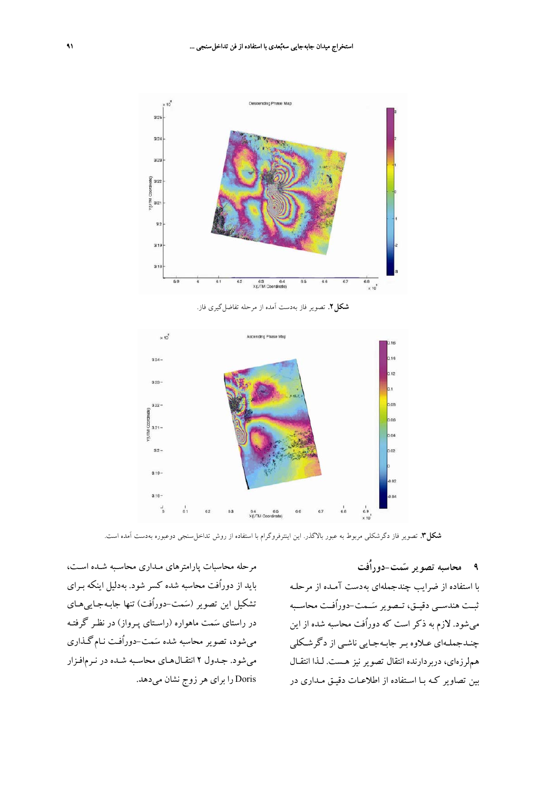

**شكل.2** تصوير فاز بهدست آمده از مرحله تفاضلگيري فاز.



**شكل.3** تصوير فاز دگرشكلي مربوط به عبور بالاگذر. اين اينترفروگرام با استفاده از روش تداخلسنجي دوعبوره بهدست آمده است.

### **9 محاسبه تصوير سمت-دوراُفت**

با استفاده از ضرايب چندجمله اي بهدست آمـده از مرحلـه ثبــت هندســي دقيــق، تــصوير ســمت-دوراُفــت محاســبه ميشود. لازم به ذكر است كه دوراُفت محاسبه شده از اين چنـدجملـهاي عـلاوه بـر جابـهجـايي ناشـي از دگرشـكلي هملرزهاي، دربردارنده انتقال تصوير نيز هـست . لـذا انتقـال بين تصاوير كـه بـا اسـتفاده از اطلاعـات دقيـق مـداري در

مرحله محاسبات پارامترهاي مـداري محاسـبه شـده اسـت، بايد از دوراُفت محاسبه شده كسر شود . بهدليل اينكه بـراي تشكيل اين تصوير (سمت-دوراُفت) تنها جابـهجـاييهـاي در راستاي سمت ماهواره (راسـتاي پـرواز) در نظـر گرفتـه ميشود، تصوير محاسبه شده سمت -دوراُفـت نـام گـذاري ميشود. جـدول 2 انتقـالهـاي محاسـبه شـده در نـرم افـزار Doris را براي هرزوج نشان ميدهد.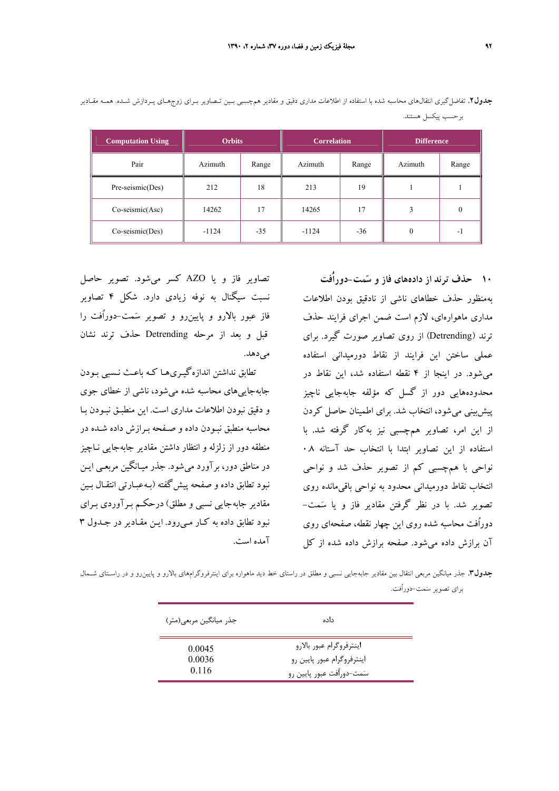| <b>Computation Using</b> | <b>Orbits</b> |       | <b>Correlation</b> |       | <b>Difference</b> |       |
|--------------------------|---------------|-------|--------------------|-------|-------------------|-------|
| Pair                     | Azimuth       | Range | Azimuth            | Range | Azimuth           | Range |
| Pre-seismic(Des)         | 212           | 18    | 213                | 19    |                   |       |
| $Co\text{-}seismic(Asc)$ | 14262         | 17    | 14265              | 17    |                   |       |
| $Co\text{-}seismic(Des)$ | $-1124$       | $-35$ | $-1124$            | $-36$ |                   | - 1   |

**جدول.2** تفاضلگيري انتقالهاي محاسبه شده با استفاده از اطلاعات مداري دقيق و مقادير همچسبي بـين تـصاوير بـراي زوجهـاي پـردازش شـده. همـه مقـادير برحسب پيكسل هستند.

> **10 حذف ترند از دادههاي فاز و سمت-دوراُفت**  بهمنظور حذف خطاهاي ناشي از نادقيق بودن اطلاعات مداري ماهوارهاي، لازم است ضمن اجراي فرايند حذف ترند (Detrending (از روي تصاوير صورت گيرد. براي عملي ساختن اين فرايند از نقاط دورميداني استفاده ميشود. در اينجا از 4 نقطه استفاده شد، اين نقاط در محدودههايي دور از گسل كه مؤلفه جابهجايي ناچيز پيشبيني ميشود، انتخاب شد. براي اطمينان حاصل كردن از اين امر، تصاوير همچسبي نيز بهكار گرفته شد. با استفاده از اين تصاوير ابتدا با انتخاب حد آستانه 0.8 نواحي با همچسبي كم از تصوير حذف شد و نواحي انتخاب نقاط دورميداني محدود به نواحي باقيمانده روي تصوير شد. با در نظر گرفتن مقادير فاز و يا سمت- دوراُفت محاسبه شده روي اين چهار نقطه، صفحهاي روي آن برازش داده ميشود. صفحه برازش داده شده از كل

تصاوير فاز و يا AZO كسر ميشود. تصوير حاصل نسبت سيگنال به نوفه زيادي دارد. شكل 4 تصاوير فاز عبور بالارو و پايينرو و تصوير سمت-دوراُفت را قبل و بعد از مرحله Detrending حذف ترند نشان مىدهد.

تطابق نداشتن اندازهگيـريهـا كـه باعـث نـسبي بـودن جابهجاييهاي محاسبه شده ميشود، ناشي از خطاي جوي و دقيق نبودن اطلاعات مداري است . اين منطبـق نبـودن بـا محاسبه منطبق نبـودن داده و صـفحه بـرازش داده شـده در منطقه دور از زلزله و انتظار داشتن مقادير جابه جايي نـاچيز در مناطق دور، برآورد مي شود. جذر ميـانگين مربعـي ايـن نبود تطابق داده و صفحه پيش گفته (بـه عبـارتي انتقـال بـين مقادير جابه جايي نسبي و مطلق) درحكـم بـرآوردي بـراي نبود تطابق داده به كـار مـي رود. ايـن مقـادير در جـدول 3 آمده است.

**جدول.3** جذر ميانگين مربعي انتقال بين مقادير جابهجايي نسبي و مطلق در راستاي خط ديد ماهواره براي اينترفروگرامهاي بالارو و پايينرو و در راسـتاي شـمال براي تصوير سمت-دوراُفت.

| جذر ميانگين مربعي(متر)    | داده                                                                                 |  |
|---------------------------|--------------------------------------------------------------------------------------|--|
| 0.0045<br>0.0036<br>0.116 | اينترفروگرام عبور بالارو<br>اینترفروگرام عبور پایین رو<br>سَمت-دوراُفت عبور پایین رو |  |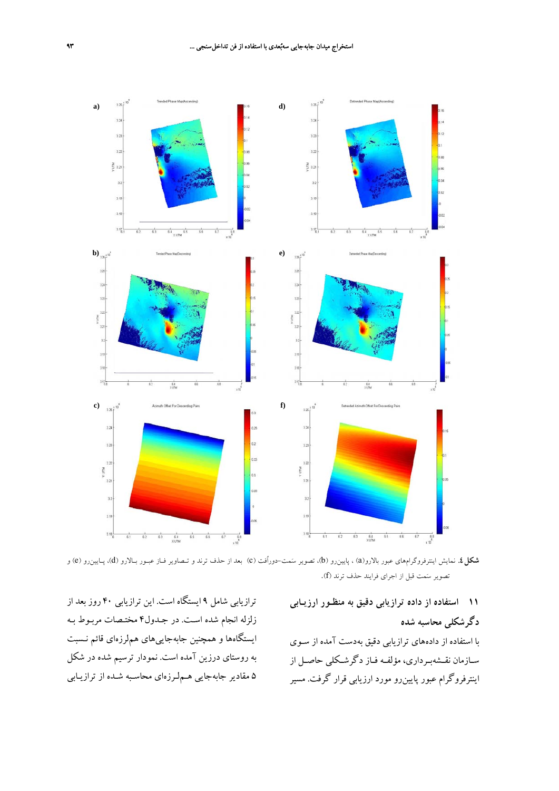

**شكل.4** نمايش اينترفروگرامهاي عبور بالارو(a (، پايينرو (b(، تصوير سمت-دوراُفت (c (بعد از حذف ترند و تـصاوير فـاز عبـور بـالارو (d(، پـايينرو (e (و تصوير سمت قبل از اجراي فرايند حذف ترند (f(.

## **11 استفاده از داده ترازيابي دقيق به منظـور ارزيـابي دگرشكلي محاسبه شده**

با استفاده از دادههاي ترازيابي دقيق بهدست آمده از سـوي سـازمان نقـشهبـرداري، مؤلفـه فـاز دگرشـكلي حاصـل از اينترفروگرام عبور پايينرو مورد ارزيابي قرار گرفت . مسير

ترازيابي شامل 9 ايستگاه است. اين ترازيابي 40 روز بعد از زلزله انجام شده اسـت . در جـدول4 مختـصات مربـوط بـه ايستگاهها و همچنين جابهجاييهاي هملرزهاي قائم نـسبت به روستاي درزين آمده است . نمودار ترسيم شده در شكل 5 مقادير جابهجايي هـملـرزهاي محاسـبه شـده از ترازيـابي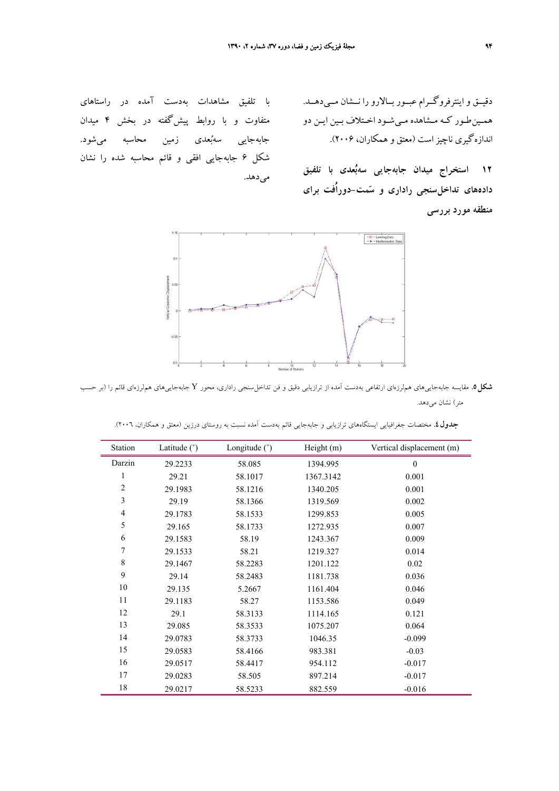دقيــق و اينترفروگــرام عبــور بــالارو را نــشان مــي دهــد. همـينطـور كـه مـشاهده مـيشـود اخـتلاف بـين ايـن دو اندازهگيري ناچيزاست (معتق و همكاران، 2006).

**12 استخراج ميدان جابهجايي سهبعدي با تلفيق دادههاي تداخلسنجي راداري و سمت-دوراُفت براي منطقه مورد بررسي** 

با تلفيق مشاهدات بهدست آمده در راستاهاي متفاوت و با روابط پيشگفته در بخش 4 ميدان جابهجايي سهبعدي زمين محاسبه ميشود. شكل 6 جابهجايي افقي و قائم محاسبه شده را نشان مىدهد.



**شكل.5** مقايسه جابهجاييهاي هملرزهاي ارتفاعي بهدست آمده از ترازيابي دقيق <sup>و</sup> فن تداخلسنجي راداري، محور <sup>Y</sup> جابهجاييهاي هملرزهاي قائم را (بر حسب متر) نشان ميدهد.

| Station                  | Latitude $(°)$ | Longitude $(°)$ | Height (m) | Vertical displacement (m) |
|--------------------------|----------------|-----------------|------------|---------------------------|
| Darzin                   | 29.2233        | 58.085          | 1394.995   | $\mathbf{0}$              |
| 1                        | 29.21          | 58.1017         | 1367.3142  | 0.001                     |
| $\sqrt{2}$               | 29.1983        | 58.1216         | 1340.205   | 0.001                     |
| $\overline{\mathbf{3}}$  | 29.19          | 58.1366         | 1319.569   | 0.002                     |
| $\overline{\mathcal{A}}$ | 29.1783        | 58.1533         | 1299.853   | 0.005                     |
| 5                        | 29.165         | 58.1733         | 1272.935   | 0.007                     |
| 6                        | 29.1583        | 58.19           | 1243.367   | 0.009                     |
| $\sqrt{ }$               | 29.1533        | 58.21           | 1219.327   | 0.014                     |
| $\,$ $\,$                | 29.1467        | 58.2283         | 1201.122   | 0.02                      |
| 9                        | 29.14          | 58.2483         | 1181.738   | 0.036                     |
| 10                       | 29.135         | 5.2667          | 1161.404   | 0.046                     |
| 11                       | 29.1183        | 58.27           | 1153.586   | 0.049                     |
| 12                       | 29.1           | 58.3133         | 1114.165   | 0.121                     |
| 13                       | 29.085         | 58.3533         | 1075.207   | 0.064                     |
| 14                       | 29.0783        | 58.3733         | 1046.35    | $-0.099$                  |
| 15                       | 29.0583        | 58.4166         | 983.381    | $-0.03$                   |
| 16                       | 29.0517        | 58.4417         | 954.112    | $-0.017$                  |
| 17                       | 29.0283        | 58.505          | 897.214    | $-0.017$                  |
| 18                       | 29.0217        | 58.5233         | 882.559    | $-0.016$                  |

**جدول.4** مختصات جغرافيايي ايستگاههاي ترازيابي و جابهجايي قائم بهدست آمده نسبت به روستاي درزين (معتق و همكاران، 2006).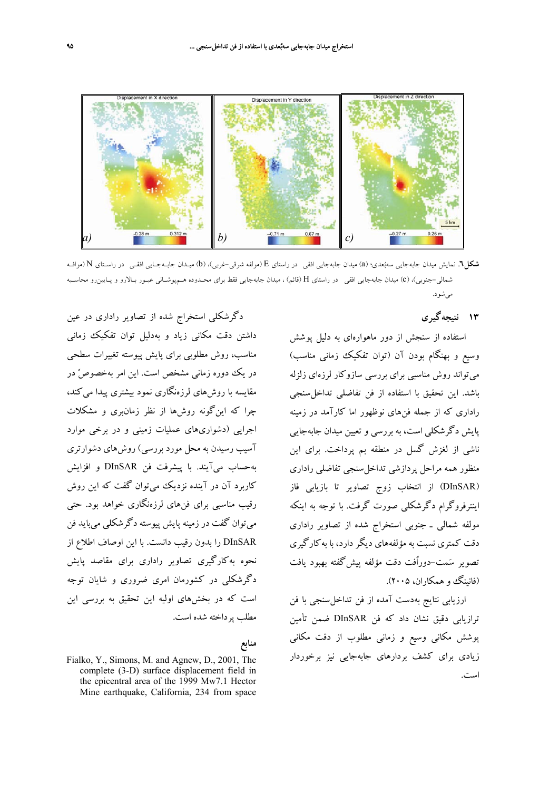

**شكل.6** نمايش ميدان جابهجايي سهبعدي؛ (a (ميدان جابهجايي افقي در راستاي E) مولفه شرقي-غربي)، (b (ميـدان جابـهجـايي افقـي در راسـتاي N) موافـه شمالي-جنوبي)، (c (ميدان جابهجايي افقي در راستاي H) قائم) ، ميدان جابهجايي فقط براي محـدوده هـمپوشـاني عبـور بـالارو و پـايينرو محاسـبه ميشود.

**13 نتيجهگيري** 

استفاده از سنجش از دور ماهوارهاي به دليل پوشش وسيع و بهنگام بودن آن (توان تفكيك زماني مناسب) ميتواند روش مناسبي براي بررسي سازوكار لرزهاي زلزله باشد. اين تحقيق با استفاده از فن تفاضلي تداخلسنجي راداري كه از جمله فنهاي نوظهور اما كارآمد در زمينه پايش دگرشكلي است، به بررسي و تعيين ميدان جابهجايي ناشي از لغزش گسل در منطقه بم پرداخت. براي اين منظور همه مراحل پردازشي تداخلسنجي تفاضلي راداري (DInSAR (از انتخاب زوج تصاوير تا بازيابي فاز اينترفروگرام دگرشكلي صورت گرفت. با توجه به اينكه مولفه شمالي ـ جنوبي استخراج شده از تصاوير راداري دقت كمتري نسبت به مؤلفههاي ديگر دارد، با بهكارگيري تصوير سمت-دوراُفت دقت مؤلفه پيشگفته بهبود يافت (فانينگ و همكاران، ۲۰۰۵).

ارزيابي نتايج بهدست آمده از فن تداخلسنجي با فن ترازيابي دقيق نشان داد كه فن DInSAR ضمن تأمين پوشش مكاني وسيع و زماني مطلوب از دقت مكاني زيادي براي كشف بردارهاي جابهجايي نيز برخوردار است.

دگرشكلي استخراج شده از تصاوير راداري در عين داشتن دقت مكاني زياد و بهدليل توان تفكيك زماني مناسب، روش مطلوبي براي پايش پيوسته تغييرات سطحي در يك دوره زماني مشخص است. اين امر بهخصوصً در مقايسه با روشهاي لرزهنگاري نمود بيشتري پيدا ميكند، چرا كه اينگونه روشها از نظر زمانبري و مشكلات اجرايي (دشواريهاي عمليات زميني و در برخي موارد آسيب رسيدن به محل مورد بررسي) روشهاي دشوارتري بهحساب ميآيند. با پيشرفت فن DInSAR و افزايش كاربرد آن در آينده نزديك ميتوان گفت كه اين روش رقيب مناسبي براي فنهاي لرزهنگاري خواهد بود. حتي ميتوان گفت در زمينه پايش پيوسته دگرشكلي ميبايد فن DInSAR را بدون رقيب دانست. با اين اوصاف اطلاع از نحوه بهكارگيري تصاوير راداري براي مقاصد پايش دگرشكلي در كشورمان امري ضروري و شايان توجه است كه در بخشهاي اوليه اين تحقيق به بررسي اين مطلب پرداخته شده است.

### **منابع**

Fialko, Y., Simons, M. and Agnew, D., 2001, The complete (3-D) surface displacement field in the epicentral area of the 1999 Mw7.1 Hector Mine earthquake, California, 234 from space